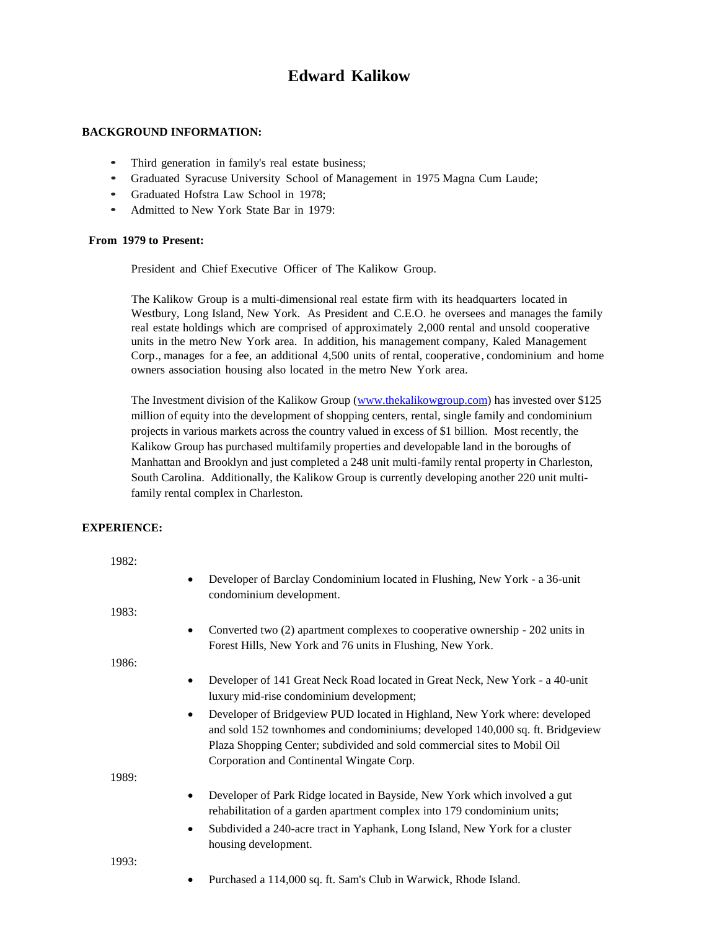# **Edward Kalikow**

## **BACKGROUND INFORMATION:**

- Third generation in family's real estate business;
- Graduated Syracuse University School of Management in <sup>1975</sup> Magna Cum Laude;
- Graduated Hofstra Law School in 1978;
- Admitted to New York State Bar in 1979:

## **From 1979 to Present:**

President and Chief Executive Officer of The Kalikow Group.

The Kalikow Group is a multi-dimensional real estate firm with its headquarters located in Westbury, Long Island, New York. As President and C.E.O. he oversees and manages the family real estate holdings which are comprised of approximately 2,000 rental and unsold cooperative units in the metro New York area. In addition, his management company, Kaled Management Corp., manages for a fee, an additional 4,500 units of rental, cooperative, condominium and home owners association housing also located in the metro New York area.

The Investment division of the Kalikow Group [\(www.thekalikowgroup.com\)](http://www.thekalikowgroup.com/) has invested over \$125 million of equity into the development of shopping centers, rental, single family and condominium projects in various markets across the country valued in excess of \$1 billion. Most recently, the Kalikow Group has purchased multifamily properties and developable land in the boroughs of Manhattan and Brooklyn and just completed a 248 unit multi-family rental property in Charleston, South Carolina. Additionally, the Kalikow Group is currently developing another 220 unit multifamily rental complex in Charleston.

#### **EXPERIENCE:**

| 1982: |                                                                                                                                                                                                                                                                                                   |
|-------|---------------------------------------------------------------------------------------------------------------------------------------------------------------------------------------------------------------------------------------------------------------------------------------------------|
|       | Developer of Barclay Condominium located in Flushing, New York - a 36-unit<br>condominium development.                                                                                                                                                                                            |
| 1983: |                                                                                                                                                                                                                                                                                                   |
|       | Converted two (2) apartment complexes to cooperative ownership - 202 units in<br>$\bullet$<br>Forest Hills, New York and 76 units in Flushing, New York.                                                                                                                                          |
| 1986: |                                                                                                                                                                                                                                                                                                   |
|       | Developer of 141 Great Neck Road located in Great Neck, New York - a 40-unit<br>٠<br>luxury mid-rise condominium development;                                                                                                                                                                     |
|       | Developer of Bridgeview PUD located in Highland, New York where: developed<br>$\bullet$<br>and sold 152 townhomes and condominiums; developed 140,000 sq. ft. Bridgeview<br>Plaza Shopping Center; subdivided and sold commercial sites to Mobil Oil<br>Corporation and Continental Wingate Corp. |
| 1989: |                                                                                                                                                                                                                                                                                                   |
|       | Developer of Park Ridge located in Bayside, New York which involved a gut<br>$\bullet$<br>rehabilitation of a garden apartment complex into 179 condominium units;                                                                                                                                |
|       | Subdivided a 240-acre tract in Yaphank, Long Island, New York for a cluster<br>$\bullet$<br>housing development.                                                                                                                                                                                  |
| 1993: |                                                                                                                                                                                                                                                                                                   |
|       | Purchased a 114,000 sq. ft. Sam's Club in Warwick, Rhode Island.                                                                                                                                                                                                                                  |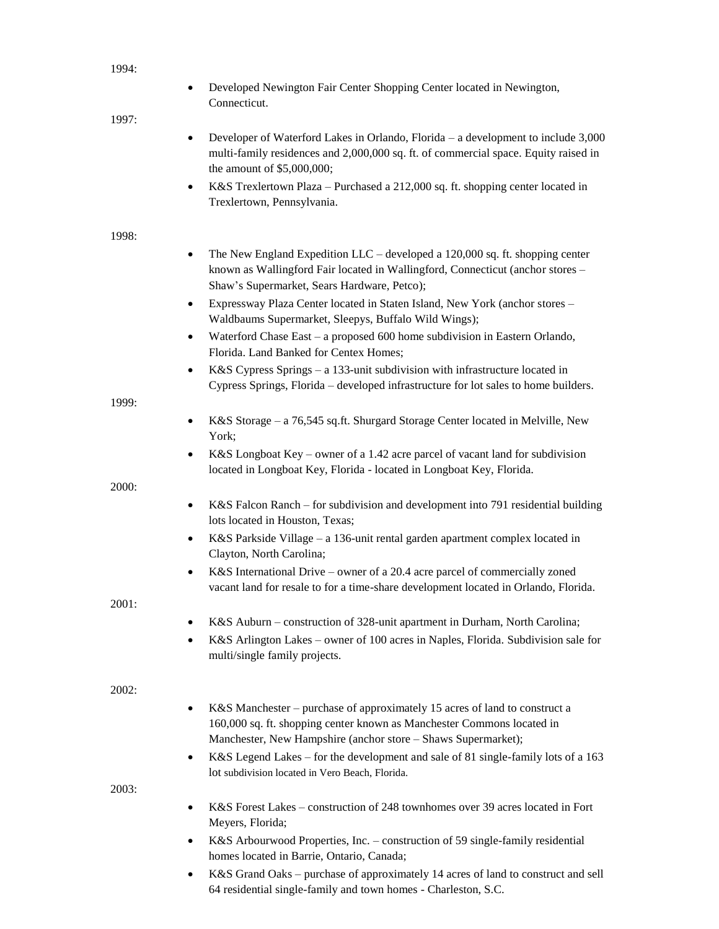|  | ۰, |  |
|--|----|--|

 Developed Newington Fair Center Shopping Center located in Newington, Connecticut.

1997:

- Developer of Waterford Lakes in Orlando, Florida a development to include 3,000 multi-family residences and 2,000,000 sq. ft. of commercial space. Equity raised in the amount of \$5,000,000;
- K&S Trexlertown Plaza Purchased a 212,000 sq. ft. shopping center located in Trexlertown, Pennsylvania.

## 199

| 1998: |                                                                                                                                                                                                                              |
|-------|------------------------------------------------------------------------------------------------------------------------------------------------------------------------------------------------------------------------------|
|       | The New England Expedition $LLC$ – developed a 120,000 sq. ft. shopping center<br>$\bullet$<br>known as Wallingford Fair located in Wallingford, Connecticut (anchor stores -<br>Shaw's Supermarket, Sears Hardware, Petco); |
|       | Expressway Plaza Center located in Staten Island, New York (anchor stores -<br>$\bullet$<br>Waldbaums Supermarket, Sleepys, Buffalo Wild Wings);                                                                             |
|       | Waterford Chase East $-$ a proposed 600 home subdivision in Eastern Orlando,<br>$\bullet$<br>Florida. Land Banked for Centex Homes;                                                                                          |
|       | K&S Cypress Springs - a 133-unit subdivision with infrastructure located in<br>$\bullet$<br>Cypress Springs, Florida - developed infrastructure for lot sales to home builders.                                              |
| 1999: |                                                                                                                                                                                                                              |
|       | K&S Storage – a 76,545 sq.ft. Shurgard Storage Center located in Melville, New<br>$\bullet$<br>York;                                                                                                                         |
|       | K&S Longboat Key – owner of a 1.42 acre parcel of vacant land for subdivision<br>$\bullet$<br>located in Longboat Key, Florida - located in Longboat Key, Florida.                                                           |
| 2000: |                                                                                                                                                                                                                              |
|       | K&S Falcon Ranch – for subdivision and development into 791 residential building<br>$\bullet$<br>lots located in Houston, Texas;                                                                                             |
|       | K&S Parkside Village - a 136-unit rental garden apartment complex located in<br>$\bullet$<br>Clayton, North Carolina;                                                                                                        |
| 2001: | K&S International Drive – owner of a 20.4 acre parcel of commercially zoned<br>$\bullet$<br>vacant land for resale to for a time-share development located in Orlando, Florida.                                              |
|       | K&S Auburn – construction of 328-unit apartment in Durham, North Carolina;<br>٠                                                                                                                                              |
|       | K&S Arlington Lakes – owner of 100 acres in Naples, Florida. Subdivision sale for<br>$\bullet$<br>multi/single family projects.                                                                                              |
| 2002: |                                                                                                                                                                                                                              |
|       | K&S Manchester - purchase of approximately 15 acres of land to construct a<br>٠<br>160,000 sq. ft. shopping center known as Manchester Commons located in<br>Manchester, New Hampshire (anchor store - Shaws Supermarket);   |
|       | K&S Legend Lakes – for the development and sale of 81 single-family lots of a 163<br>lot subdivision located in Vero Beach, Florida.                                                                                         |
| 2003: |                                                                                                                                                                                                                              |
|       | K&S Forest Lakes – construction of 248 townhomes over 39 acres located in Fort<br>Meyers, Florida;                                                                                                                           |
|       | K&S Arbourwood Properties, Inc. – construction of 59 single-family residential<br>٠<br>homes located in Barrie, Ontario, Canada;                                                                                             |

 K&S Grand Oaks – purchase of approximately 14 acres of land to construct and sell 64 residential single-family and town homes - Charleston, S.C.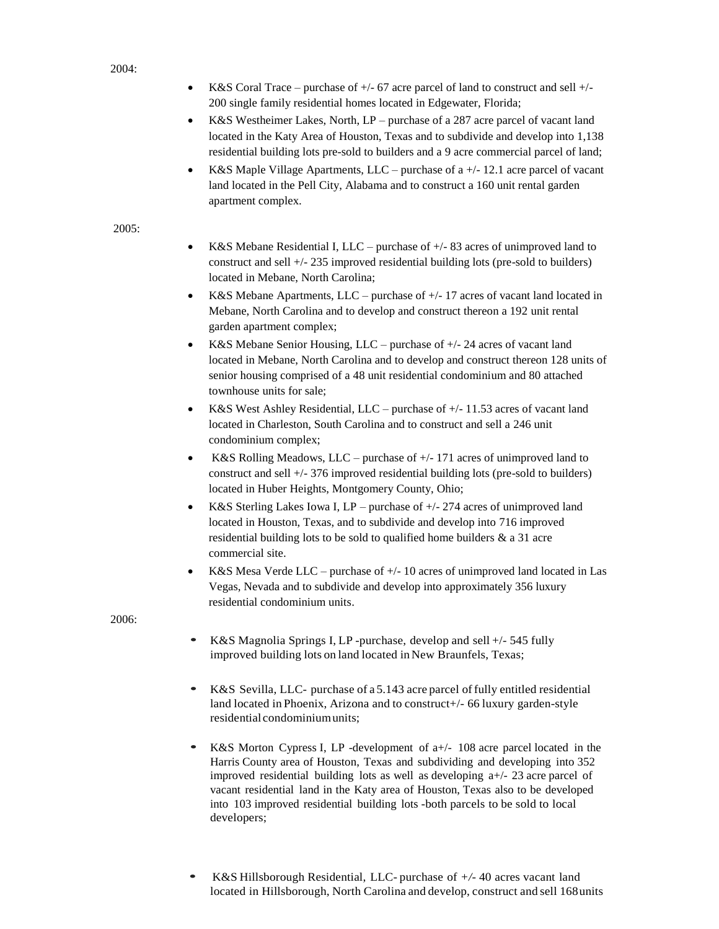#### 2004:

- K&S Coral Trace purchase of  $+/-$  67 acre parcel of land to construct and sell  $+/-$ 200 single family residential homes located in Edgewater, Florida;
- K&S Westheimer Lakes, North, LP purchase of a 287 acre parcel of vacant land located in the Katy Area of Houston, Texas and to subdivide and develop into 1,138 residential building lots pre-sold to builders and a 9 acre commercial parcel of land;
- K&S Maple Village Apartments, LLC purchase of  $a +/- 12.1$  acre parcel of vacant land located in the Pell City, Alabama and to construct a 160 unit rental garden apartment complex.

#### 2005:

- K&S Mebane Residential I, LLC purchase of  $+/-$  83 acres of unimproved land to construct and sell +/- 235 improved residential building lots (pre-sold to builders) located in Mebane, North Carolina;
- K&S Mebane Apartments, LLC purchase of +/- 17 acres of vacant land located in Mebane, North Carolina and to develop and construct thereon a 192 unit rental garden apartment complex;
- K&S Mebane Senior Housing, LLC purchase of  $+/$  24 acres of vacant land located in Mebane, North Carolina and to develop and construct thereon 128 units of senior housing comprised of a 48 unit residential condominium and 80 attached townhouse units for sale;
- K&S West Ashley Residential, LLC purchase of +/- 11.53 acres of vacant land located in Charleston, South Carolina and to construct and sell a 246 unit condominium complex;
- K&S Rolling Meadows, LLC purchase of +/- 171 acres of unimproved land to construct and sell +/- 376 improved residential building lots (pre-sold to builders) located in Huber Heights, Montgomery County, Ohio;
- K&S Sterling Lakes Iowa I, LP purchase of +/- 274 acres of unimproved land located in Houston, Texas, and to subdivide and develop into 716 improved residential building lots to be sold to qualified home builders & a 31 acre commercial site.
- K&S Mesa Verde LLC purchase of  $+/-10$  acres of unimproved land located in Las Vegas, Nevada and to subdivide and develop into approximately 356 luxury residential condominium units.

2006:

- K&S Magnolia Springs I, LP -purchase, develop and sell +/- <sup>545</sup> fully improved building lots on land located in New Braunfels, Texas;
- K&S Sevilla, LLC- purchase of a 5.143 acre parcel of fully entitled residential land located in Phoenix, Arizona and to construct+/- 66 luxury garden-style residential condominiumunits;
- K&S Morton Cypress I, LP -development of  $a+/- 108$  acre parcel located in the Harris County area of Houston, Texas and subdividing and developing into 352 improved residential building lots as well as developing  $a+/- 23$  acre parcel of vacant residential land in the Katy area of Houston, Texas also to be developed into 103 improved residential building lots -both parcels to be sold to local developers;
- K&S Hillsborough Residential, LLC- purchase of *+/-* <sup>40</sup> acres vacant land located in Hillsborough, North Carolina and develop, construct and sell 168units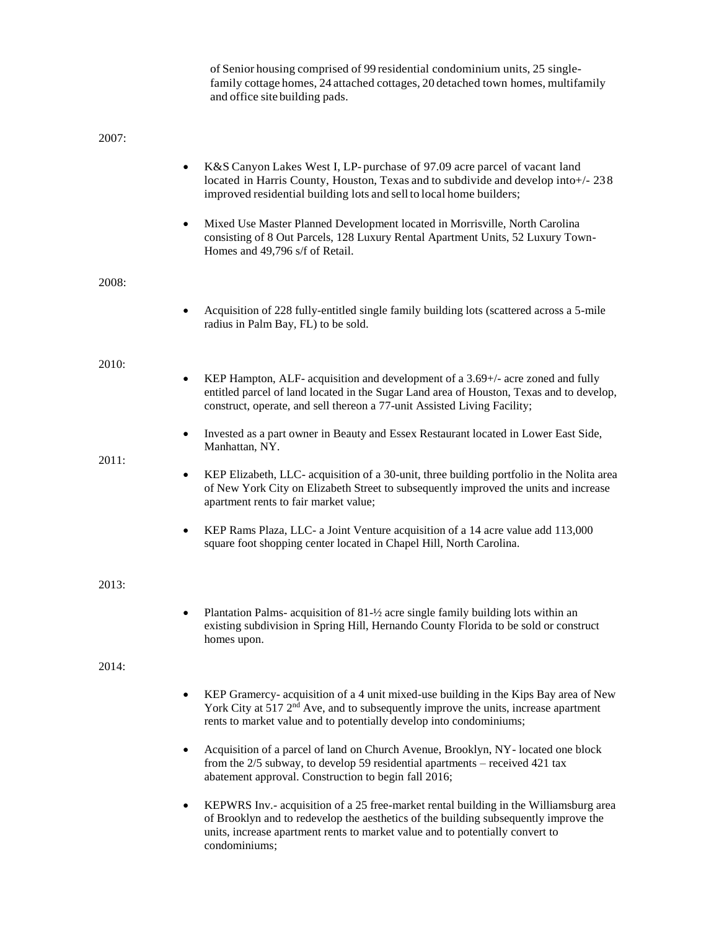|       | of Senior housing comprised of 99 residential condominium units, 25 single-<br>family cottage homes, 24 attached cottages, 20 detached town homes, multifamily<br>and office site building pads.                                                                                             |
|-------|----------------------------------------------------------------------------------------------------------------------------------------------------------------------------------------------------------------------------------------------------------------------------------------------|
| 2007: |                                                                                                                                                                                                                                                                                              |
|       | K&S Canyon Lakes West I, LP- purchase of 97.09 acre parcel of vacant land<br>$\bullet$<br>located in Harris County, Houston, Texas and to subdivide and develop into+/-238<br>improved residential building lots and sell to local home builders;                                            |
|       | Mixed Use Master Planned Development located in Morrisville, North Carolina<br>$\bullet$<br>consisting of 8 Out Parcels, 128 Luxury Rental Apartment Units, 52 Luxury Town-<br>Homes and 49,796 s/f of Retail.                                                                               |
| 2008: |                                                                                                                                                                                                                                                                                              |
|       | Acquisition of 228 fully-entitled single family building lots (scattered across a 5-mile<br>٠<br>radius in Palm Bay, FL) to be sold.                                                                                                                                                         |
| 2010: |                                                                                                                                                                                                                                                                                              |
|       | KEP Hampton, ALF- acquisition and development of a 3.69+/- acre zoned and fully<br>$\bullet$<br>entitled parcel of land located in the Sugar Land area of Houston, Texas and to develop,<br>construct, operate, and sell thereon a 77-unit Assisted Living Facility;                         |
| 2011: | Invested as a part owner in Beauty and Essex Restaurant located in Lower East Side,<br>$\bullet$<br>Manhattan, NY.                                                                                                                                                                           |
|       | KEP Elizabeth, LLC- acquisition of a 30-unit, three building portfolio in the Nolita area<br>$\bullet$<br>of New York City on Elizabeth Street to subsequently improved the units and increase<br>apartment rents to fair market value;                                                      |
|       | KEP Rams Plaza, LLC- a Joint Venture acquisition of a 14 acre value add 113,000<br>$\bullet$<br>square foot shopping center located in Chapel Hill, North Carolina.                                                                                                                          |
| 2013: |                                                                                                                                                                                                                                                                                              |
|       | Plantation Palms- acquisition of 81-1/2 acre single family building lots within an<br>existing subdivision in Spring Hill, Hernando County Florida to be sold or construct<br>homes upon.                                                                                                    |
| 2014: |                                                                                                                                                                                                                                                                                              |
|       | KEP Gramercy- acquisition of a 4 unit mixed-use building in the Kips Bay area of New<br>$\bullet$<br>York City at 517 2 <sup>nd</sup> Ave, and to subsequently improve the units, increase apartment<br>rents to market value and to potentially develop into condominiums;                  |
|       | Acquisition of a parcel of land on Church Avenue, Brooklyn, NY- located one block<br>$\bullet$<br>from the $2/5$ subway, to develop 59 residential apartments – received 421 tax<br>abatement approval. Construction to begin fall 2016;                                                     |
|       | KEPWRS Inv.- acquisition of a 25 free-market rental building in the Williamsburg area<br>$\bullet$<br>of Brooklyn and to redevelop the aesthetics of the building subsequently improve the<br>units, increase apartment rents to market value and to potentially convert to<br>condominiums; |